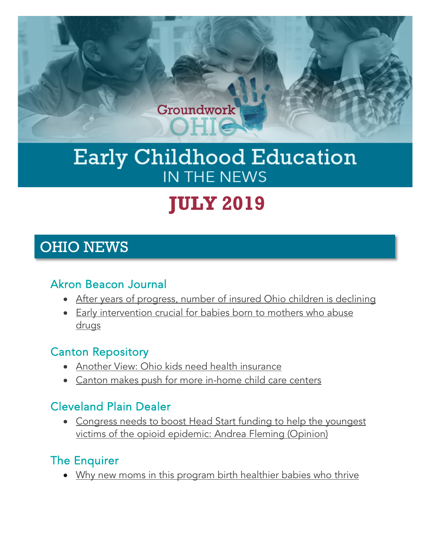

## Early Childhood Education IN THE NEWS

# **JULY 2019**

## OHIO NEWS

#### Akron Beacon Journal

- [After years of progress, number of insured Ohio children is declining](https://www.ohio.com/news/20190720/after-years-of-progress-number-of-insured-ohio-children-is-declining)
- [Early intervention crucial for babies born to mothers who abuse](https://www.ohio.com/news/20190715/early-intervention-crucial-for-babies-born-to-mothers-who-abuse-drugs/1)  [drugs](https://www.ohio.com/news/20190715/early-intervention-crucial-for-babies-born-to-mothers-who-abuse-drugs/1)

## Canton Repository

- [Another View: Ohio kids need health insurance](https://www.cantonrep.com/opinion/20190729/another-view-ohio-kids-need-health-insurance)
- [Canton makes push for more in-home child care centers](https://www.cantonrep.com/news/20190725/canton-makes-push-for-more-in-home-child-care-centers?utm_source=FFYF+Master+List&utm_campaign=8584bc220d-EMAIL_CAMPAIGN_10_4_2018_14_43_COPY_01&utm_medium=email&utm_term=0_5f24375a4f-8584bc220d-304332493&mc_cid=8584bc220d&mc_eid=6d443f3602)

## Cleveland Plain Dealer

• [Congress needs to boost Head Start funding to help the youngest](https://www.cleveland.com/opinion/2019/07/congress-needs-to-boost-head-start-funding-to-help-the-youngest-victims-of-the-opioid-epidemic-andrea-fleming-opinion.html?utm_source=FFYF+Master+List&utm_campaign=43425de8ab-EMAIL_CAMPAIGN_10_4_2018_14_43_COPY_01&utm_medium=email&utm_term=0_5f24375a4f-43425de8ab-304332493&mc_cid=43425de8ab&mc_eid=6d443f3602)  [victims of the opioid epidemic: Andrea Fleming \(Opinion\)](https://www.cleveland.com/opinion/2019/07/congress-needs-to-boost-head-start-funding-to-help-the-youngest-victims-of-the-opioid-epidemic-andrea-fleming-opinion.html?utm_source=FFYF+Master+List&utm_campaign=43425de8ab-EMAIL_CAMPAIGN_10_4_2018_14_43_COPY_01&utm_medium=email&utm_term=0_5f24375a4f-43425de8ab-304332493&mc_cid=43425de8ab&mc_eid=6d443f3602)

## The Enquirer

• [Why new moms in this program birth healthier babies who thrive](https://www.cincinnati.com/story/news/2019/07/28/these-families-dont-have-cars-driveway-and-babysitters-and-if-they-depressed-its-actually-two-genera/1597809001/)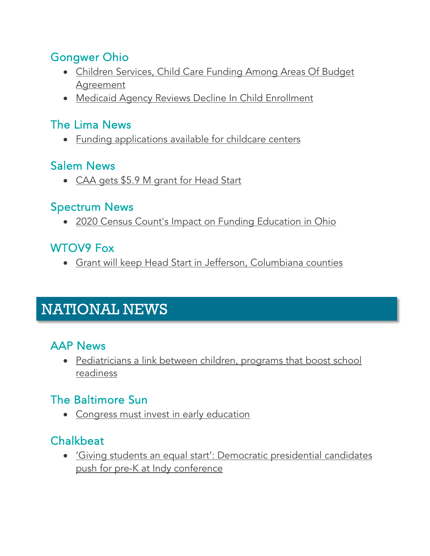#### Gongwer Ohio

- [Children Services, Child Care Funding Among Areas Of Budget](https://www.gongwer-oh.com/programming/news.cfm?article_id=881330201)  [Agreement](https://www.gongwer-oh.com/programming/news.cfm?article_id=881330201)
- [Medicaid Agency Reviews Decline In Child Enrollment](https://www.gongwer-oh.com/programming/news.cfm?article_id=881450201)

#### The Lima News

• [Funding applications available for childcare centers](https://www.limaohio.com/news/366287/funding-applications-available-for-childcare-centers)

#### Salem News

• [CAA gets \\$5.9 M grant for Head Start](https://www.salemnews.net/news/neighborhood-news/2019/07/caa-gets-5-9-m-grant-for-head-start/?utm_source=FFYF+Master+List&utm_campaign=fa0ede0752-EMAIL_CAMPAIGN_10_4_2018_14_43_COPY_01&utm_medium=email&utm_term=0_5f24375a4f-fa0ede0752-304332493&mc_cid=fa0ede0752&mc_eid=6d443f3602)

#### Spectrum News

• [2020 Census Count's Impact on Funding Education in Ohio](https://spectrumnews1.com/oh/columbus/news/2019/07/11/2020-census-count-s-impact-on-funding-education-in-ohio)

## WTOV9 Fox

• Grant will [keep Head Start in Jefferson, Columbiana counties](https://wtov9.com/news/local/grant-will-keep-head-start-in-jefferson-columbiana-counties?utm_source=FFYF+Master+List&utm_campaign=f09b828062-EMAIL_CAMPAIGN_10_4_2018_14_43_COPY_01&utm_medium=email&utm_term=0_5f24375a4f-f09b828062-304332493&mc_cid=f09b828062&mc_eid=6d443f3602)

## NATIONAL NEWS

## AAP News

• Pediatricians a link between children, programs that boost school [readiness](https://www.aappublications.org/news/2019/07/22/schoolreadiness072219?utm_source=FFYF+Master+List&utm_campaign=98c9697704-EMAIL_CAMPAIGN_10_4_2018_14_43_COPY_01&utm_medium=email&utm_term=0_5f24375a4f-98c9697704-304332493&mc_cid=98c9697704&mc_eid=6d443f3602)

## The Baltimore Sun

• [Congress must invest in early education](https://www.baltimoresun.com/opinion/op-ed/bs-ed-op-0710-early-education-20190709-6x3bkikewzcljo3gn56yrstsey-story.html?utm_source=FFYF+Master+List&utm_campaign=7db6551084-EMAIL_CAMPAIGN_10_4_2018_14_43_COPY_01&utm_medium=email&utm_term=0_5f24375a4f-7db6551084-304332493&mc_cid=7db6551084&mc_eid=6d443f3602)

## Chalkbeat

• ['Giving students an equal start': Democratic presidential candidates](https://chalkbeat.org/posts/in/2019/07/25/giving-students-an-equal-start-democratic-presidential-candidates-push-for-pre-k-at-indy-conference/?utm_source=FFYF+Master+List&utm_campaign=b4a2d705ab-EMAIL_CAMPAIGN_10_4_2018_14_43_COPY_01&utm_medium=email&utm_term=0_5f24375a4f-b4a2d705ab-304332493&mc_cid=b4a2d705ab&mc_eid=6d443f3602)  [push for pre-K at Indy conference](https://chalkbeat.org/posts/in/2019/07/25/giving-students-an-equal-start-democratic-presidential-candidates-push-for-pre-k-at-indy-conference/?utm_source=FFYF+Master+List&utm_campaign=b4a2d705ab-EMAIL_CAMPAIGN_10_4_2018_14_43_COPY_01&utm_medium=email&utm_term=0_5f24375a4f-b4a2d705ab-304332493&mc_cid=b4a2d705ab&mc_eid=6d443f3602)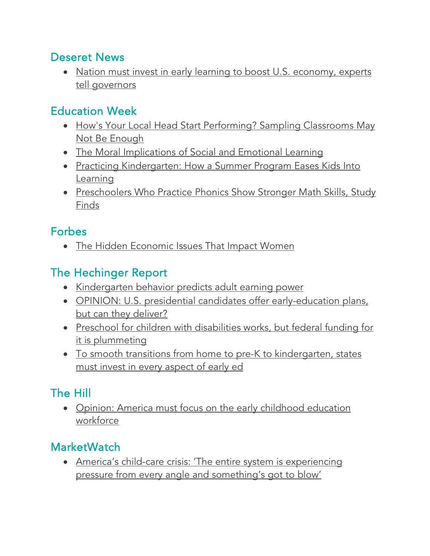#### Deseret News

• Nation must invest in early learning to boost U.S. economy, experts [tell governors](https://www.deseretnews.com/article/900081409/utah-national-governors-association-early-childhood-education.html?utm_source=FFYF+Master+List&utm_campaign=c2f865d1f4-EMAIL_CAMPAIGN_10_4_2018_14_43_COPY_01&utm_medium=email&utm_term=0_5f24375a4f-c2f865d1f4-304332493&mc_cid=c2f865d1f4&mc_eid=6d443f3602)

## Education Week

- How's Your Local Head Start Performing? Sampling Classrooms May [Not Be Enough](http://blogs.edweek.org/edweek/inside-school-research/2019/07/head_start_center_classrooms_differ_in_quality.html?cmp=eml-enl-eu-news3&M=58887759&U=2562019&UUID=c56328f37ecbb28c29f629791f1fec8c)
- [The Moral Implications of Social and Emotional Learning](http://blogs.edweek.org/edweek/rick_hess_straight_up/2019/07/the_moral_implications_of_social_and_emotional_learning.html?cmp=eml-enl-eu-news3&M=58877946&U=2562019&UUID=c56328f37ecbb28c29f629791f1fec8c)
- [Practicing Kindergarten: How a Summer Program Eases Kids Into](https://blogs.edweek.org/edweek/early_years/2018/08/getting_students_ready_for_kindergarten.html?cmp=eml-enl-eu-news3&M=58881872&U=2562019&UUID=c56328f37ecbb28c29f629791f1fec8c)  [Learning](https://blogs.edweek.org/edweek/early_years/2018/08/getting_students_ready_for_kindergarten.html?cmp=eml-enl-eu-news3&M=58881872&U=2562019&UUID=c56328f37ecbb28c29f629791f1fec8c)
- Preschoolers Who Practice Phonics Show Stronger Math Skills, Study [Finds](http://blogs.edweek.org/teachers/teaching_now/2019/07/preschoolers_who_practice_phonics_show_stronger_math_skills_study_finds.html?cmp=eml-enl-eu-news2&M=58877946&U=2562019&UUID=c56328f37ecbb28c29f629791f1fec8c)

## **Forbes**

• [The Hidden Economic Issues That Impact Women](https://www.forbes.com/sites/shelleyzalis/2019/07/23/the-hidden-economic-issues-that-impact-women/?utm_source=FFYF%2BMaster%2BList&utm_campaign=8584bc220d-EMAIL_CAMPAIGN_10_4_2018_14_43_COPY_01&utm_medium=email&utm_term=0_5f24375a4f-8584bc220d-304332493&mc_cid=8584bc220d&mc_eid=6d443f3602#4dc0d9f32c83)

## The Hechinger Report

- [Kindergarten behavior predicts adult earning power](https://hechingerreport.org/kindergarten-behavior-predicts-adult-earning-power/?utm_source=FFYF+Master+List&utm_campaign=552a1eabd8-EMAIL_CAMPAIGN_10_4_2018_14_43_COPY_01&utm_medium=email&utm_term=0_5f24375a4f-552a1eabd8-304332493&mc_cid=552a1eabd8&mc_eid=6d443f3602)
- [OPINION: U.S. presidential candidates offer early-education plans,](https://hechingerreport.org/opinion-candidates-offer-early-ed-plans/?utm_source=FFYF+Master+List&utm_campaign=f09b828062-EMAIL_CAMPAIGN_10_4_2018_14_43_COPY_01&utm_medium=email&utm_term=0_5f24375a4f-f09b828062-304332493&mc_cid=f09b828062&mc_eid=6d443f3602)  [but can they deliver?](https://hechingerreport.org/opinion-candidates-offer-early-ed-plans/?utm_source=FFYF+Master+List&utm_campaign=f09b828062-EMAIL_CAMPAIGN_10_4_2018_14_43_COPY_01&utm_medium=email&utm_term=0_5f24375a4f-f09b828062-304332493&mc_cid=f09b828062&mc_eid=6d443f3602)
- [Preschool for children with disabilities works, but federal funding for](https://hechingerreport.org/preschool-for-children-with-disabilities-works-but-federal-funding-for-it-is-plummeting/?utm_source=FFYF+Master+List&utm_campaign=7db6551084-EMAIL_CAMPAIGN_10_4_2018_14_43_COPY_01&utm_medium=email&utm_term=0_5f24375a4f-7db6551084-304332493&mc_cid=7db6551084&mc_eid=6d443f3602) [it is plummeting](https://hechingerreport.org/preschool-for-children-with-disabilities-works-but-federal-funding-for-it-is-plummeting/?utm_source=FFYF+Master+List&utm_campaign=7db6551084-EMAIL_CAMPAIGN_10_4_2018_14_43_COPY_01&utm_medium=email&utm_term=0_5f24375a4f-7db6551084-304332493&mc_cid=7db6551084&mc_eid=6d443f3602)
- To smooth transitions from home to pre-K to kindergarten, states [must invest in every aspect of early ed](https://hechingerreport.org/to-smooth-transitions-from-home-to-prek-to-kinder-states-must-invest-in-every-aspect-of-early-ed/)

## The Hill

• Opinion: America must focus on the early childhood education [workforce](https://thehill.com/opinion/education/452626-america-must-focus-on-the-early-childhood-education-workforce?utm_source=FFYF+Master+List&utm_campaign=3bfbc32ab2-EMAIL_CAMPAIGN_10_4_2018_14_43_COPY_01&utm_medium=email&utm_term=0_5f24375a4f-3bfbc32ab2-304332493&mc_cid=3bfbc32ab2&mc_eid=6d443f3602)

## **MarketWatch**

• [America's child-care crisis: 'The entire system is experiencing](https://www.marketwatch.com/story/most-parents-to-be-are-clueless-about-the-career-and-money-costs-of-raising-a-child-2019-07-17?utm_source=FFYF+Master+List&utm_campaign=070c4fcd65-EMAIL_CAMPAIGN_10_4_2018_14_43_COPY_01&utm_medium=email&utm_term=0_5f24375a4f-070c4fcd65-304332493&mc_cid=070c4fcd65&mc_eid=6d443f3602)  [pressure from every angle and something's got to blow'](https://www.marketwatch.com/story/most-parents-to-be-are-clueless-about-the-career-and-money-costs-of-raising-a-child-2019-07-17?utm_source=FFYF+Master+List&utm_campaign=070c4fcd65-EMAIL_CAMPAIGN_10_4_2018_14_43_COPY_01&utm_medium=email&utm_term=0_5f24375a4f-070c4fcd65-304332493&mc_cid=070c4fcd65&mc_eid=6d443f3602)